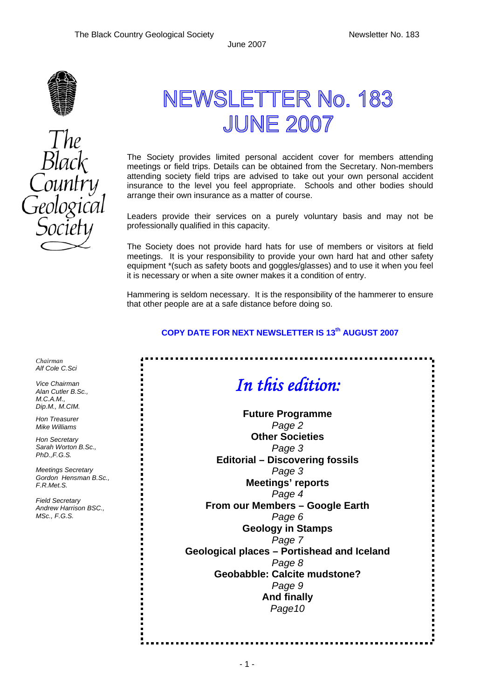ų,



The<br>Black

# NEWSLETTER No. 183 **JUNE 2007**

The Society provides limited personal accident cover for members attending meetings or field trips. Details can be obtained from the Secretary. Non-members attending society field trips are advised to take out your own personal accident insurance to the level you feel appropriate. Schools and other bodies should arrange their own insurance as a matter of course.

Leaders provide their services on a purely voluntary basis and may not be professionally qualified in this capacity.

The Society does not provide hard hats for use of members or visitors at field meetings. It is your responsibility to provide your own hard hat and other safety equipment \*(such as safety boots and goggles/glasses) and to use it when you feel it is necessary or when a site owner makes it a condition of entry.

Hammering is seldom necessary. It is the responsibility of the hammerer to ensure that other people are at a safe distance before doing so.

#### **COPY DATE FOR NEXT NEWSLETTER IS 13<sup>th</sup> AUGUST 2007**

# *In this edition:*

**Future Programme**  *Page 2*  **Other Societies**  *Page 3*  **Editorial – Discovering fossils**  *Page 3*  **Meetings' reports**  *Page 4*  **From our Members – Google Earth**  *Page 6*  **Geology in Stamps**  *Page 7*  **Geological places – Portishead and Iceland**  *Page 8*  **Geobabble: Calcite mudstone?**  *Page 9*  **And finally**  *Page10* 

*Chairman Alf Cole C.Sci* 

*Vice Chairman Alan Cutler B.Sc., M.C.A.M., Dip.M., M.CIM.* 

*Hon Treasurer Mike Williams* 

*Hon Secretary Sarah Worton B.Sc., PhD.,F.G.S.* 

*Meetings Secretary Gordon Hensman B.Sc., F.R.Met.S.* 

*Field Secretary Andrew Harrison BSC., MSc., F.G.S.*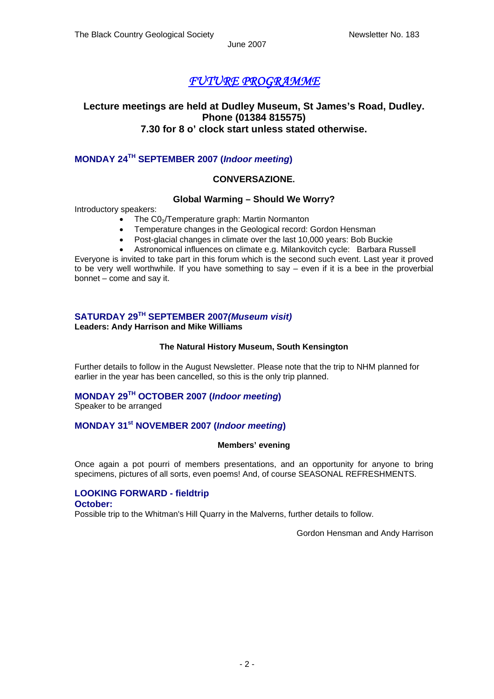# *FUTURE PROGRAMME*

### **Lecture meetings are held at Dudley Museum, St James's Road, Dudley. Phone (01384 815575) 7.30 for 8 o' clock start unless stated otherwise.**

### **MONDAY 24TH SEPTEMBER 2007 (***Indoor meeting***)**

#### **CONVERSAZIONE.**

#### **Global Warming – Should We Worry?**

Introductory speakers:

- The C0<sub>2</sub>/Temperature graph: Martin Normanton
- Temperature changes in the Geological record: Gordon Hensman
- Post-glacial changes in climate over the last 10,000 years: Bob Buckie
- Astronomical influences on climate e.g. Milankovitch cycle: Barbara Russell Everyone is invited to take part in this forum which is the second such event. Last year it proved to be very well worthwhile. If you have something to say – even if it is a bee in the proverbial bonnet – come and say it.

### **SATURDAY 29TH SEPTEMBER 2007***(Museum visit)*

**Leaders: Andy Harrison and Mike Williams**

#### **The Natural History Museum, South Kensington**

Further details to follow in the August Newsletter. Please note that the trip to NHM planned for earlier in the year has been cancelled, so this is the only trip planned.

## **MONDAY 29TH OCTOBER 2007 (***Indoor meeting***)**

Speaker to be arranged

#### **MONDAY 31st NOVEMBER 2007 (***Indoor meeting***)**

#### **Members' evening**

Once again a pot pourri of members presentations, and an opportunity for anyone to bring specimens, pictures of all sorts, even poems! And, of course SEASONAL REFRESHMENTS.

### **LOOKING FORWARD - fieldtrip**

#### **October:**

Possible trip to the Whitman's Hill Quarry in the Malverns, further details to follow.

Gordon Hensman and Andy Harrison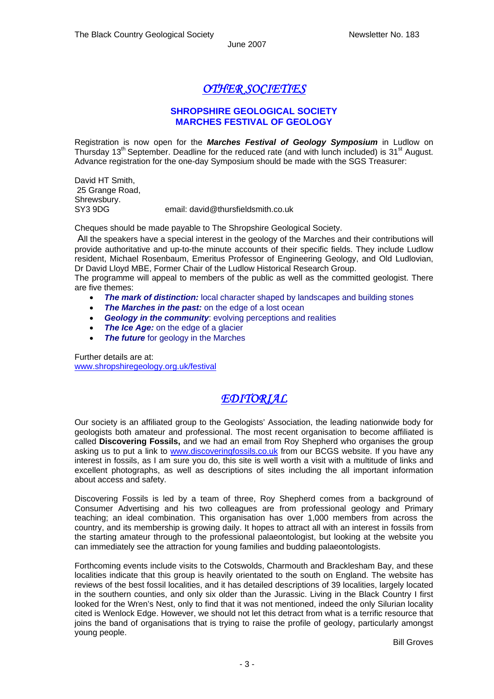# *OTHER SOCIETIES*

### **SHROPSHIRE GEOLOGICAL SOCIETY MARCHES FESTIVAL OF GEOLOGY**

Registration is now open for the *Marches Festival of Geology Symposium* in Ludlow on Thursday  $13<sup>th</sup>$  September. Deadline for the reduced rate (and with lunch included) is  $31<sup>st</sup>$  August. Advance registration for the one-day Symposium should be made with the SGS Treasurer:

David HT Smith, 25 Grange Road, Shrewsbury. SY3 9DG email: david@thursfieldsmith.co.uk

Cheques should be made payable to The Shropshire Geological Society.

 All the speakers have a special interest in the geology of the Marches and their contributions will provide authoritative and up-to-the minute accounts of their specific fields. They include Ludlow resident, Michael Rosenbaum, Emeritus Professor of Engineering Geology, and Old Ludlovian, Dr David Lloyd MBE, Former Chair of the Ludlow Historical Research Group.

The programme will appeal to members of the public as well as the committed geologist. There are five themes:

- *The mark of distinction:* local character shaped by landscapes and building stones
- **The Marches in the past:** on the edge of a lost ocean
- **Geology in the community:** evolving perceptions and realities
- **The Ice Age:** on the edge of a glacier
- **The future** for geology in the Marches

Further details are at: [www.shropshiregeology.org.uk/festival](http://www.shropshiregeology.org.uk/festival)

# *EDITORIAL*

Our society is an affiliated group to the Geologists' Association, the leading nationwide body for geologists both amateur and professional. The most recent organisation to become affiliated is called **Discovering Fossils,** and we had an email from Roy Shepherd who organises the group asking us to put a link to [www.discoveringfossils.co.uk](http://www.discoveringfossils.co.uk/) from our BCGS website. If you have any interest in fossils, as I am sure you do, this site is well worth a visit with a multitude of links and excellent photographs, as well as descriptions of sites including the all important information about access and safety.

Discovering Fossils is led by a team of three, Roy Shepherd comes from a background of Consumer Advertising and his two colleagues are from professional geology and Primary teaching; an ideal combination. This organisation has over 1,000 members from across the country, and its membership is growing daily. It hopes to attract all with an interest in fossils from the starting amateur through to the professional palaeontologist, but looking at the website you can immediately see the attraction for young families and budding palaeontologists.

Forthcoming events include visits to the Cotswolds, Charmouth and Bracklesham Bay, and these localities indicate that this group is heavily orientated to the south on England. The website has reviews of the best fossil localities, and it has detailed descriptions of 39 localities, largely located in the southern counties, and only six older than the Jurassic. Living in the Black Country I first looked for the Wren's Nest, only to find that it was not mentioned, indeed the only Silurian locality cited is Wenlock Edge. However, we should not let this detract from what is a terrific resource that joins the band of organisations that is trying to raise the profile of geology, particularly amongst young people.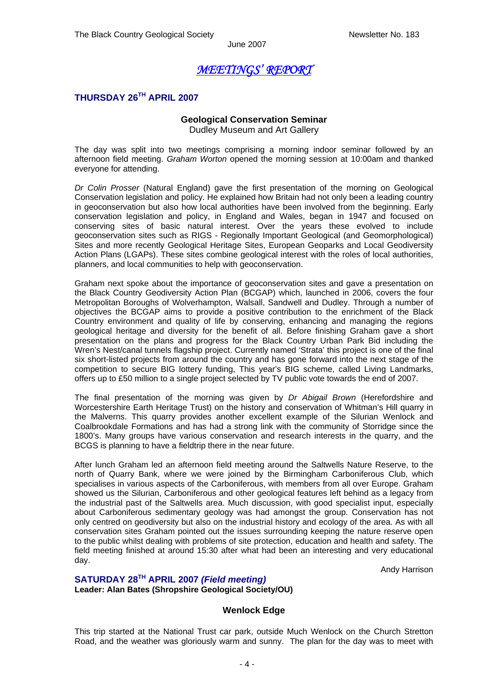# *MEETINGS' REPORT*

### **THURSDAY 26TH APRIL 2007**

#### **Geological Conservation Seminar**

Dudley Museum and Art Gallery

The day was split into two meetings comprising a morning indoor seminar followed by an afternoon field meeting. *Graham Worton* opened the morning session at 10:00am and thanked everyone for attending.

*Dr Colin Prosser* (Natural England) gave the first presentation of the morning on Geological Conservation legislation and policy. He explained how Britain had not only been a leading country in geoconservation but also how local authorities have been involved from the beginning. Early conservation legislation and policy, in England and Wales, began in 1947 and focused on conserving sites of basic natural interest. Over the years these evolved to include geoconservation sites such as RIGS - Regionally Important Geological (and Geomorphological) Sites and more recently Geological Heritage Sites, European Geoparks and Local Geodiversity Action Plans (LGAPs). These sites combine geological interest with the roles of local authorities, planners, and local communities to help with geoconservation.

Graham next spoke about the importance of geoconservation sites and gave a presentation on the Black Country Geodiversity Action Plan (BCGAP) which, launched in 2006, covers the four Metropolitan Boroughs of Wolverhampton, Walsall, Sandwell and Dudley. Through a number of objectives the BCGAP aims to provide a positive contribution to the enrichment of the Black Country environment and quality of life by conserving, enhancing and managing the regions geological heritage and diversity for the benefit of all. Before finishing Graham gave a short presentation on the plans and progress for the Black Country Urban Park Bid including the Wren's Nest/canal tunnels flagship project. Currently named 'Strata' this project is one of the final six short-listed projects from around the country and has gone forward into the next stage of the competition to secure BIG lottery funding, This year's BIG scheme, called Living Landmarks, offers up to £50 million to a single project selected by TV public vote towards the end of 2007.

The final presentation of the morning was given by *Dr Abigail Brown* (Herefordshire and Worcestershire Earth Heritage Trust) on the history and conservation of Whitman's Hill quarry in the Malverns. This quarry provides another excellent example of the Silurian Wenlock and Coalbrookdale Formations and has had a strong link with the community of Storridge since the 1800's. Many groups have various conservation and research interests in the quarry, and the BCGS is planning to have a fieldtrip there in the near future.

After lunch Graham led an afternoon field meeting around the Saltwells Nature Reserve, to the north of Quarry Bank, where we were joined by the Birmingham Carboniferous Club, which specialises in various aspects of the Carboniferous, with members from all over Europe. Graham showed us the Silurian, Carboniferous and other geological features left behind as a legacy from the industrial past of the Saltwells area. Much discussion, with good specialist input, especially about Carboniferous sedimentary geology was had amongst the group. Conservation has not only centred on geodiversity but also on the industrial history and ecology of the area. As with all conservation sites Graham pointed out the issues surrounding keeping the nature reserve open to the public whilst dealing with problems of site protection, education and health and safety. The field meeting finished at around 15:30 after what had been an interesting and very educational day.

Andy Harrison

#### **SATURDAY 28TH APRIL 2007** *(Field meeting)*  **Leader: Alan Bates (Shropshire Geological Society/OU)**

#### **Wenlock Edge**

This trip started at the National Trust car park, outside Much Wenlock on the Church Stretton Road, and the weather was gloriously warm and sunny. The plan for the day was to meet with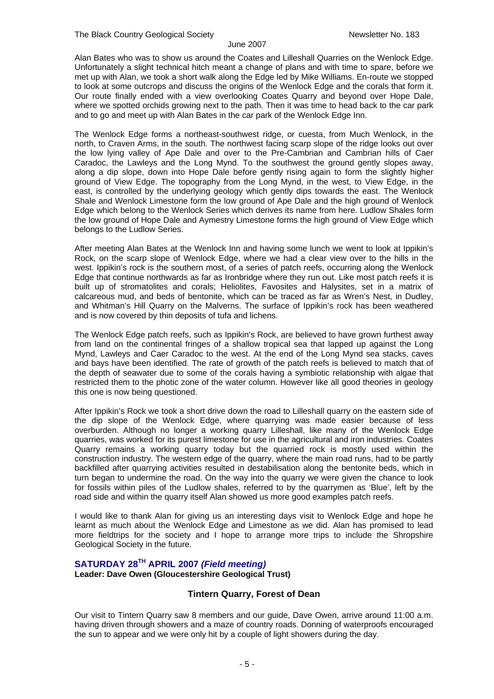Alan Bates who was to show us around the Coates and Lilleshall Quarries on the Wenlock Edge. Unfortunately a slight technical hitch meant a change of plans and with time to spare, before we met up with Alan, we took a short walk along the Edge led by Mike Williams. En-route we stopped to look at some outcrops and discuss the origins of the Wenlock Edge and the corals that form it. Our route finally ended with a view overlooking Coates Quarry and beyond over Hope Dale, where we spotted orchids growing next to the path. Then it was time to head back to the car park and to go and meet up with Alan Bates in the car park of the Wenlock Edge Inn.

The Wenlock Edge forms a northeast-southwest ridge, or cuesta, from Much Wenlock, in the north, to Craven Arms, in the south. The northwest facing scarp slope of the ridge looks out over the low lying valley of Ape Dale and over to the Pre-Cambrian and Cambrian hills of Caer Caradoc, the Lawleys and the Long Mynd. To the southwest the ground gently slopes away, along a dip slope, down into Hope Dale before gently rising again to form the slightly higher ground of View Edge. The topography from the Long Mynd, in the west, to View Edge, in the east, is controlled by the underlying geology which gently dips towards the east. The Wenlock Shale and Wenlock Limestone form the low ground of Ape Dale and the high ground of Wenlock Edge which belong to the Wenlock Series which derives its name from here. Ludlow Shales form the low ground of Hope Dale and Aymestry Limestone forms the high ground of View Edge which belongs to the Ludlow Series.

After meeting Alan Bates at the Wenlock Inn and having some lunch we went to look at Ippikin's Rock, on the scarp slope of Wenlock Edge, where we had a clear view over to the hills in the west. Ippikin's rock is the southern most, of a series of patch reefs, occurring along the Wenlock Edge that continue northwards as far as Ironbridge where they run out. Like most patch reefs it is built up of stromatolites and corals; Heliolites, Favosites and Halysites, set in a matrix of calcareous mud, and beds of bentonite, which can be traced as far as Wren's Nest, in Dudley, and Whitman's Hill Quarry on the Malverns. The surface of Ippikin's rock has been weathered and is now covered by thin deposits of tufa and lichens.

The Wenlock Edge patch reefs, such as Ippikin's Rock, are believed to have grown furthest away from land on the continental fringes of a shallow tropical sea that lapped up against the Long Mynd, Lawleys and Caer Caradoc to the west. At the end of the Long Mynd sea stacks, caves and bays have been identified. The rate of growth of the patch reefs is believed to match that of the depth of seawater due to some of the corals having a symbiotic relationship with algae that restricted them to the photic zone of the water column. However like all good theories in geology this one is now being questioned.

After Ippikin's Rock we took a short drive down the road to Lilleshall quarry on the eastern side of the dip slope of the Wenlock Edge, where quarrying was made easier because of less overburden. Although no longer a working quarry Lilleshall, like many of the Wenlock Edge quarries, was worked for its purest limestone for use in the agricultural and iron industries. Coates Quarry remains a working quarry today but the quarried rock is mostly used within the construction industry. The western edge of the quarry, where the main road runs, had to be partly backfilled after quarrying activities resulted in destabilisation along the bentonite beds, which in turn began to undermine the road. On the way into the quarry we were given the chance to look for fossils within piles of the Ludlow shales, referred to by the quarrymen as 'Blue', left by the road side and within the quarry itself Alan showed us more good examples patch reefs.

I would like to thank Alan for giving us an interesting days visit to Wenlock Edge and hope he learnt as much about the Wenlock Edge and Limestone as we did. Alan has promised to lead more fieldtrips for the society and I hope to arrange more trips to include the Shropshire Geological Society in the future.

### **SATURDAY 28TH APRIL 2007** *(Field meeting)*

#### **Leader: Dave Owen (Gloucestershire Geological Trust)**

#### **Tintern Quarry, Forest of Dean**

Our visit to Tintern Quarry saw 8 members and our guide, Dave Owen, arrive around 11:00 a.m. having driven through showers and a maze of country roads. Donning of waterproofs encouraged the sun to appear and we were only hit by a couple of light showers during the day.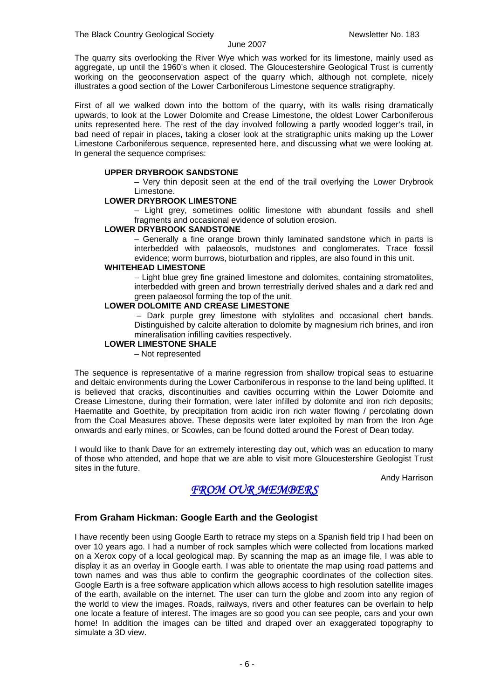The quarry sits overlooking the River Wye which was worked for its limestone, mainly used as aggregate, up until the 1960's when it closed. The Gloucestershire Geological Trust is currently working on the geoconservation aspect of the quarry which, although not complete, nicely illustrates a good section of the Lower Carboniferous Limestone sequence stratigraphy.

First of all we walked down into the bottom of the quarry, with its walls rising dramatically upwards, to look at the Lower Dolomite and Crease Limestone, the oldest Lower Carboniferous units represented here. The rest of the day involved following a partly wooded logger's trail, in bad need of repair in places, taking a closer look at the stratigraphic units making up the Lower Limestone Carboniferous sequence, represented here, and discussing what we were looking at. In general the sequence comprises:

#### **UPPER DRYBROOK SANDSTONE**

– Very thin deposit seen at the end of the trail overlying the Lower Drybrook Limestone.

#### **LOWER DRYBROOK LIMESTONE**

– Light grey, sometimes oolitic limestone with abundant fossils and shell fragments and occasional evidence of solution erosion.

#### **LOWER DRYBROOK SANDSTONE**

– Generally a fine orange brown thinly laminated sandstone which in parts is interbedded with palaeosols, mudstones and conglomerates. Trace fossil evidence; worm burrows, bioturbation and ripples, are also found in this unit.

#### **WHITEHEAD LIMESTONE**

– Light blue grey fine grained limestone and dolomites, containing stromatolites, interbedded with green and brown terrestrially derived shales and a dark red and green palaeosol forming the top of the unit.

#### **LOWER DOLOMITE AND CREASE LIMESTONE**

 – Dark purple grey limestone with stylolites and occasional chert bands. Distinguished by calcite alteration to dolomite by magnesium rich brines, and iron mineralisation infilling cavities respectively.

#### **LOWER LIMESTONE SHALE**

– Not represented

The sequence is representative of a marine regression from shallow tropical seas to estuarine and deltaic environments during the Lower Carboniferous in response to the land being uplifted. It is believed that cracks, discontinuities and cavities occurring within the Lower Dolomite and Crease Limestone, during their formation, were later infilled by dolomite and iron rich deposits; Haematite and Goethite, by precipitation from acidic iron rich water flowing / percolating down from the Coal Measures above. These deposits were later exploited by man from the Iron Age onwards and early mines, or Scowles, can be found dotted around the Forest of Dean today.

I would like to thank Dave for an extremely interesting day out, which was an education to many of those who attended, and hope that we are able to visit more Gloucestershire Geologist Trust sites in the future.

Andy Harrison

### *FROM OUR MEMBERS*

#### **From Graham Hickman: Google Earth and the Geologist**

I have recently been using Google Earth to retrace my steps on a Spanish field trip I had been on over 10 years ago. I had a number of rock samples which were collected from locations marked on a Xerox copy of a local geological map. By scanning the map as an image file, I was able to display it as an overlay in Google earth. I was able to orientate the map using road patterns and town names and was thus able to confirm the geographic coordinates of the collection sites. Google Earth is a free software application which allows access to high resolution satellite images of the earth, available on the internet. The user can turn the globe and zoom into any region of the world to view the images. Roads, railways, rivers and other features can be overlain to help one locate a feature of interest. The images are so good you can see people, cars and your own home! In addition the images can be tilted and draped over an exaggerated topography to simulate a 3D view.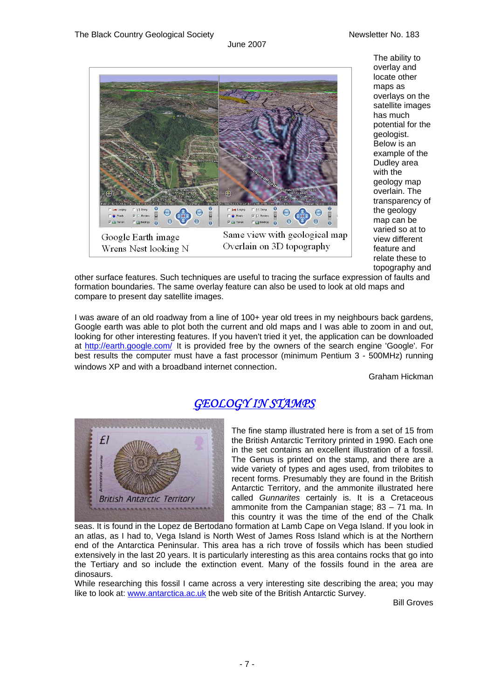

The ability to overlay and locate other maps as overlays on the satellite images has much potential for the geologist. Below is an example of the Dudley area with the geology map overlain. The transparency of the geology map can be varied so at to view different feature and relate these to topography and

other surface features. Such techniques are useful to tracing the surface expression of faults and formation boundaries. The same overlay feature can also be used to look at old maps and compare to present day satellite images.

I was aware of an old roadway from a line of 100+ year old trees in my neighbours back gardens, Google earth was able to plot both the current and old maps and I was able to zoom in and out, looking for other interesting features. If you haven't tried it yet, the application can be downloaded at <http://earth.google.com/> It is provided free by the owners of the search engine 'Google'. For best results the computer must have a fast processor (minimum Pentium 3 - 500MHz) running windows XP and with a broadband internet connection.<br>Graham Hickman

# *GEOLOGY IN STAMPS*



The fine stamp illustrated here is from a set of 15 from the British Antarctic Territory printed in 1990. Each one in the set contains an excellent illustration of a fossil. The Genus is printed on the stamp, and there are a wide variety of types and ages used, from trilobites to recent forms. Presumably they are found in the British Antarctic Territory, and the ammonite illustrated here called *Gunnarites* certainly is. It is a Cretaceous ammonite from the Campanian stage; 83 – 71 ma. In this country it was the time of the end of the Chalk

seas. It is found in the Lopez de Bertodano formation at Lamb Cape on Vega Island. If you look in an atlas, as I had to, Vega Island is North West of James Ross Island which is at the Northern end of the Antarctica Peninsular. This area has a rich trove of fossils which has been studied extensively in the last 20 years. It is particularly interesting as this area contains rocks that go into the Tertiary and so include the extinction event. Many of the fossils found in the area are dinosaurs.

While researching this fossil I came across a very interesting site describing the area; you may like to look at: [www.antarctica.ac.uk](http://www.antarctica.ac.uk/) the web site of the British Antarctic Survey.

Bill Groves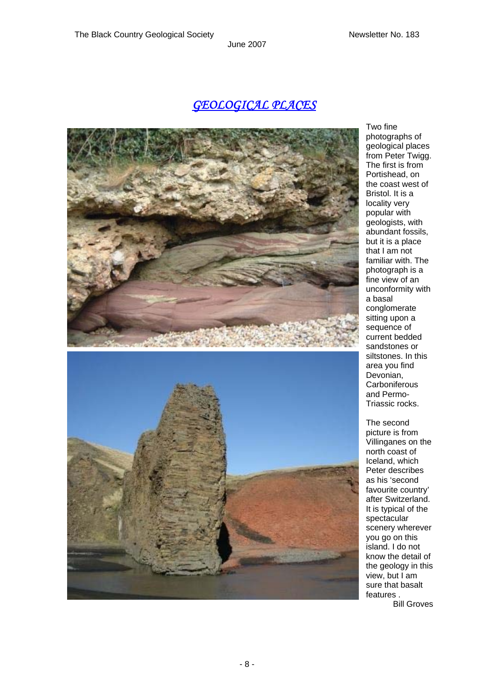# *GEOLOGICAL PLACES*



Two fine photographs of geological places from Peter Twigg. The first is from Portishead, on the coast west of Bristol. It is a locality very popular with geologists, with abundant fossils, but it is a place that I am not familiar with. The photograph is a fine view of an unconformity with a basal conglomerate sitting upon a sequence of current bedded sandstones or siltstones. In this area you find Devonian, **Carboniferous** and Permo-Triassic rocks.

The second picture is from Villinganes on the north coast of Iceland, which Peter describes as his 'second favourite country' after Switzerland. It is typical of the spectacular scenery wherever you go on this island. I do not know the detail of the geology in this view, but I am sure that basalt features . Bill Groves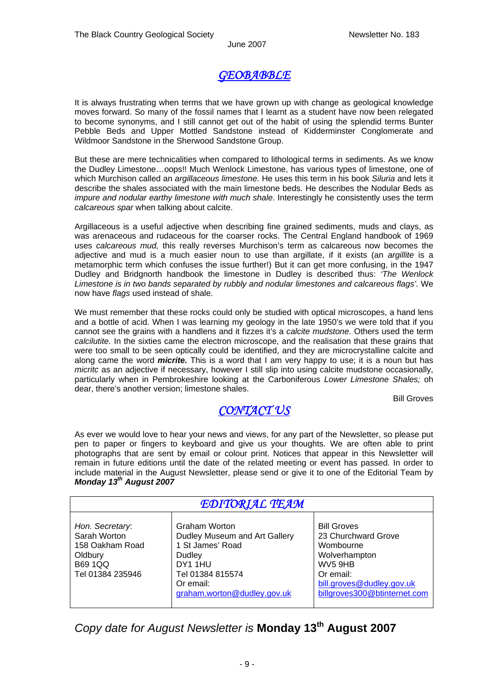# *GEOBABBLE*

It is always frustrating when terms that we have grown up with change as geological knowledge moves forward. So many of the fossil names that I learnt as a student have now been relegated to become synonyms, and I still cannot get out of the habit of using the splendid terms Bunter Pebble Beds and Upper Mottled Sandstone instead of Kidderminster Conglomerate and Wildmoor Sandstone in the Sherwood Sandstone Group.

But these are mere technicalities when compared to lithological terms in sediments. As we know the Dudley Limestone…oops!! Much Wenlock Limestone, has various types of limestone, one of which Murchison called an *argillaceous limestone.* He uses this term in his book *Siluria* and lets it describe the shales associated with the main limestone beds. He describes the Nodular Beds as *impure and nodular earthy limestone with much shale*. Interestingly he consistently uses the term *calcareous spar* when talking about calcite.

Argillaceous is a useful adjective when describing fine grained sediments, muds and clays, as was arenaceous and rudaceous for the coarser rocks. The Central England handbook of 1969 uses *calcareous mud,* this really reverses Murchison's term as calcareous now becomes the adjective and mud is a much easier noun to use than argillate, if it exists (an *argillite* is a metamorphic term which confuses the issue further!) But it can get more confusing, in the 1947 Dudley and Bridgnorth handbook the limestone in Dudley is described thus: *'The Wenlock Limestone is in two bands separated by rubbly and nodular limestones and calcareous flags'.* We now have *flags* used instead of shale.

We must remember that these rocks could only be studied with optical microscopes, a hand lens and a bottle of acid. When I was learning my geology in the late 1950's we were told that if you cannot see the grains with a handlens and it fizzes it's a *calcite mudstone.* Others used the term *calcilutite.* In the sixties came the electron microscope, and the realisation that these grains that were too small to be seen optically could be identified, and they are microcrystalline calcite and along came the word *micrite.* This is a word that I am very happy to use; it is a noun but has *micritc* as an adjective if necessary, however I still slip into using calcite mudstone occasionally, particularly when in Pembrokeshire looking at the Carboniferous *Lower Limestone Shales;* oh dear, there's another version; limestone shales.

Bill Groves

# *CONTACT US*

As ever we would love to hear your news and views, for any part of the Newsletter, so please put pen to paper or fingers to keyboard and give us your thoughts. We are often able to print photographs that are sent by email or colour print. Notices that appear in this Newsletter will remain in future editions until the date of the related meeting or event has passed. In order to include material in the August Newsletter, please send or give it to one of the Editorial Team by *Monday 13th August 2007* 

| <b>EDITORIAL TEAM</b>                                                                               |                                                                                                                                                                     |                                                                                                                                                                          |
|-----------------------------------------------------------------------------------------------------|---------------------------------------------------------------------------------------------------------------------------------------------------------------------|--------------------------------------------------------------------------------------------------------------------------------------------------------------------------|
| Hon. Secretary:<br>Sarah Worton<br>158 Oakham Road<br>Oldbury<br><b>B69 1QQ</b><br>Tel 01384 235946 | Graham Worton<br>Dudley Museum and Art Gallery<br>1 St James' Road<br>Dudley<br>DY <sub>1</sub> 1HU<br>Tel 01384 815574<br>Or email:<br>graham.worton@dudley.gov.uk | <b>Bill Groves</b><br>23 Churchward Grove<br>Wombourne<br>Wolverhampton<br>WV <sub>5</sub> 9HB<br>Or email:<br>bill.groves@dudley.gov.uk<br>billgroves300@btinternet.com |

*Copy date for August Newsletter is* **Monday 13th August 2007**